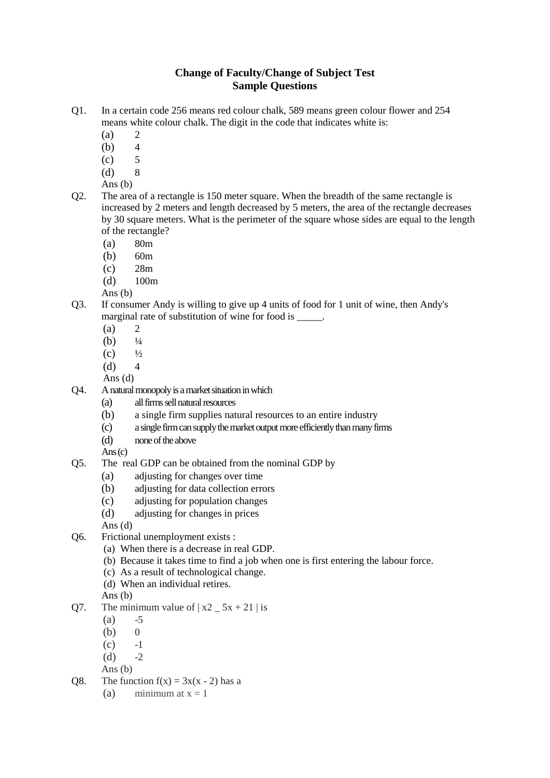## **Change of Faculty/Change of Subject Test Sample Questions**

- Q1. In a certain code 256 means red colour chalk, 589 means green colour flower and 254 means white colour chalk. The digit in the code that indicates white is:
	- $(a)$  2
	- (b) 4
	- $\left( \text{c} \right)$  5
	- (d) 8
	- Ans (b)
- Q2. The area of a rectangle is 150 meter square. When the breadth of the same rectangle is increased by 2 meters and length decreased by 5 meters, the area of the rectangle decreases by 30 square meters. What is the perimeter of the square whose sides are equal to the length of the rectangle?
	- (a) 80m
	- (b) 60m
	- (c) 28m
	- (d) 100m
	- Ans (b)
- Q3. If consumer Andy is willing to give up 4 units of food for 1 unit of wine, then Andy's marginal rate of substitution of wine for food is \_\_\_\_\_.
	- $(a)$  2
	- (b)  $\frac{1}{4}$
	- $(c)$   $\frac{1}{2}$
	- $(d) 4$
	- Ans (d)
- Q4. A natural monopoly is a market situation in which
	- (a) all firms sell natural resources
	- (b) a single firm supplies natural resources to an entire industry
	- (c) a single firm can supply the market output more efficiently than manyfirms
	- (d) none of the above

 $Ans(c)$ 

- Q5. The real GDP can be obtained from the nominal GDP by
	- (a) adjusting for changes over time
	- (b) adjusting for data collection errors
	- (c) adjusting for population changes
	- (d) adjusting for changes in prices
	- Ans (d)
- Q6. Frictional unemployment exists :
	- (a) When there is a decrease in real GDP.
	- (b) Because it takes time to find a job when one is first entering the labour force.
	- (c) As a result of technological change.
	- (d) When an individual retires.
	- Ans (b)
- Q7. The minimum value of  $|x^2 5x + 21|$  is
	- $(a) -5$
	- $(b)$  0
	- $(c)$  -1
	- $(d)$  -2
	- Ans (b)
- Q8. The function  $f(x) = 3x(x 2)$  has a
	- (a) minimum at  $x = 1$